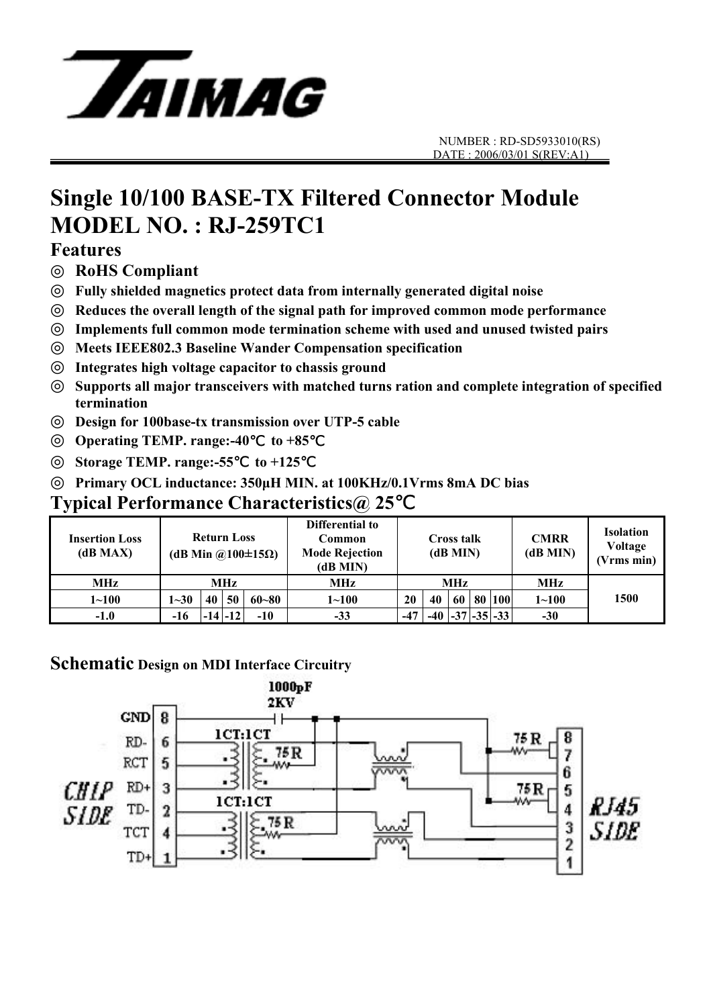

# **Single 10/100 BASE-TX Filtered Connector Module MODEL NO. : RJ-259TC1**

#### **Features**

◎ **RoHS Compliant**

◎ **Fully shielded magnetics protect data from internally generated digital noise** 

Reduces the overall length of the signal path for improved common mode performance

Implements full common mode termination scheme with used and unused twisted pairs

◎ **Meets IEEE802.3 Baseline Wander Compensation specification** 

◎ **Integrates high voltage capacitor to chassis ground** 

Supports all major transceivers with matched turns ration and complete integration of specified **termination** 

◎ **Design for 100base-tx transmission over UTP-5 cable** 

**Operating TEMP. range:-40** to +85

◎ **Storage TEMP. range:-55**℃ **to +125**℃

◎ **Primary OCL inductance: 350µH MIN. at 100KHz/0.1Vrms 8mA DC bias**

#### **Typical Performance Characteristics@ 25**℃

| <b>Insertion Loss</b><br>(dB MAX) | <b>Return Loss</b><br>(dB Min @100 $\pm$ 15 $\Omega$ ) |    |             |           | Differential to<br>Common<br><b>Mode Rejection</b><br>(dB MIN) | <b>Cross talk</b><br>(dB MIN) |    |  |  | <b>CMRR</b><br>(dB MIN) | <b>Isolation</b><br>Voltage<br>(Vrms min) |      |
|-----------------------------------|--------------------------------------------------------|----|-------------|-----------|----------------------------------------------------------------|-------------------------------|----|--|--|-------------------------|-------------------------------------------|------|
| <b>MHz</b>                        | MHz                                                    |    |             |           | <b>MHz</b>                                                     | <b>MHz</b>                    |    |  |  |                         | <b>MHz</b>                                |      |
| $1 - 100$                         | $1 - 30$                                               | 40 | 50          | $60 - 80$ | $1 \!\!\sim\!\! 100$                                           | 20                            | 40 |  |  | 60 80 100               | $1 - 100$                                 | 1500 |
| $-1.0$                            | $-16$                                                  |    | $-14$ $-12$ | $-10$     | $-33$                                                          | $-47$                         |    |  |  | $-40$ $-37$ $-35$ $-33$ | $-30$                                     |      |

#### **Schematic Design on MDI Interface Circuitry**

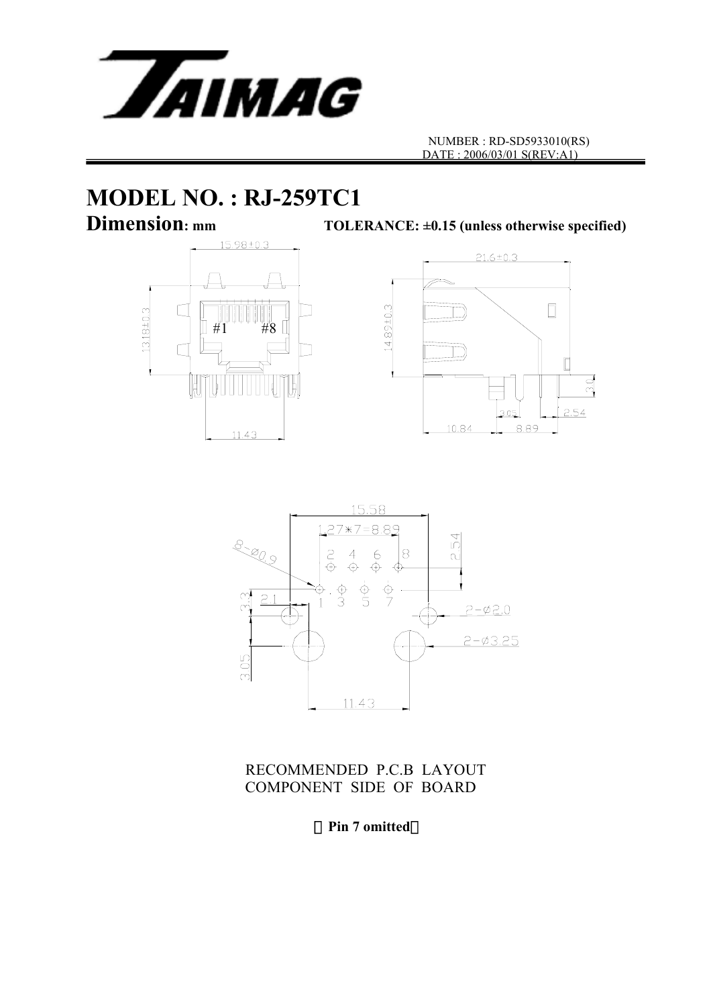

# **MODEL NO. : RJ-259TC1**<br>Dimension: mm<br>TOLE





TOLERANCE:  $\pm 0.15$  (unless otherwise specified)



RECOMMENDED P.C.B LAYOUT COMPONENT SIDE OF BOARD

(**Pin 7 omitted**)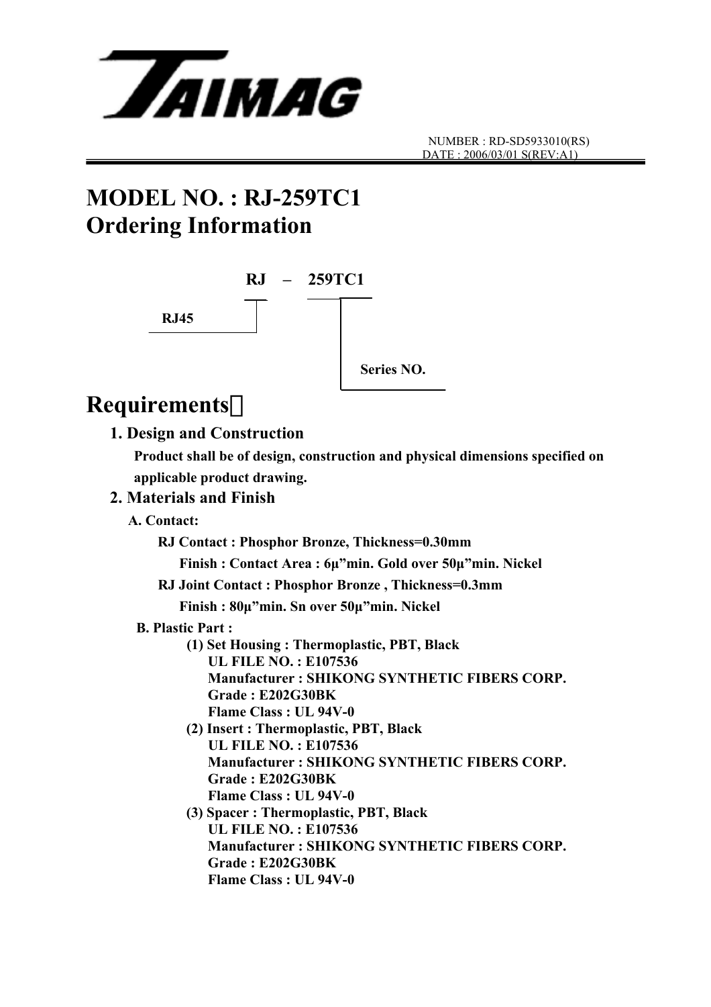

## **MODEL NO. : RJ-259TC1 Ordering Information**



## **Requirements**:

#### **1. Design and Construction**

 **Product shall be of design, construction and physical dimensions specified on applicable product drawing.** 

#### **2. Materials and Finish**

 **A. Contact:** 

 **RJ Contact : Phosphor Bronze, Thickness=0.30mm** 

 **Finish : Contact Area : 6µ"min. Gold over 50µ"min. Nickel** 

**RJ Joint Contact : Phosphor Bronze , Thickness=0.3mm** 

 **Finish : 80µ"min. Sn over 50µ"min. Nickel** 

- **B. Plastic Part :** 
	- **(1) Set Housing : Thermoplastic, PBT, Black UL FILE NO. : E107536 Manufacturer : SHIKONG SYNTHETIC FIBERS CORP. Grade : E202G30BK Flame Class : UL 94V-0**
	- **(2) Insert : Thermoplastic, PBT, Black UL FILE NO. : E107536 Manufacturer : SHIKONG SYNTHETIC FIBERS CORP. Grade : E202G30BK Flame Class : UL 94V-0**
	- **(3) Spacer : Thermoplastic, PBT, Black UL FILE NO. : E107536 Manufacturer : SHIKONG SYNTHETIC FIBERS CORP. Grade : E202G30BK Flame Class : UL 94V-0**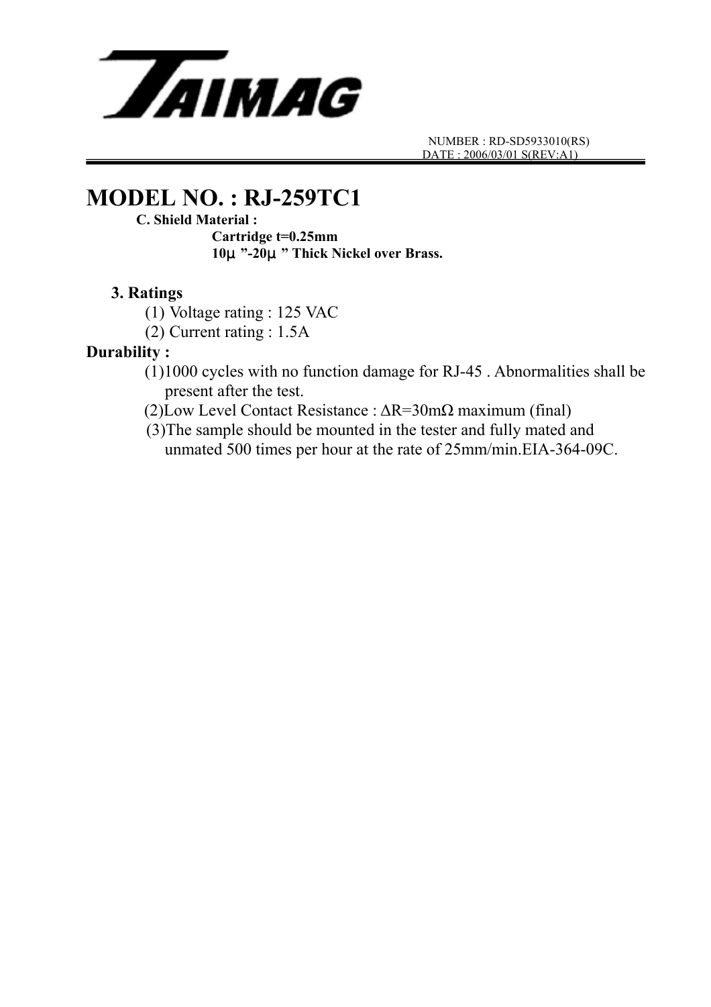

## **MODEL NO. : RJ-259TC1**

#### **C. Shield Material :**

 **Cartridge t=0.25mm 10**μ**"-20**μ**" Thick Nickel over Brass.** 

#### **3. Ratings**

(1) Voltage rating : 125 VAC

(2) Current rating : 1.5A

#### **Durability :**

- (1)1000 cycles with no function damage for RJ-45 . Abnormalities shall be present after the test.
- (2)Low Level Contact Resistance : ∆R=30mΩ maximum (final)
- (3)The sample should be mounted in the tester and fully mated and unmated 500 times per hour at the rate of 25mm/min.EIA-364-09C.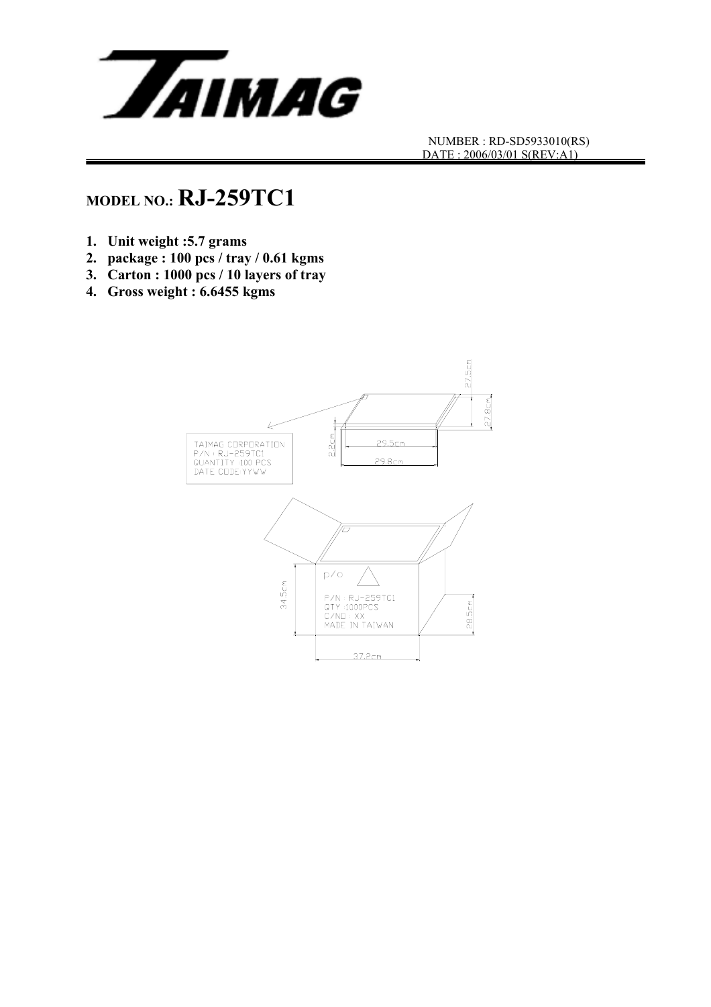

## **MODEL NO.: RJ-259TC1**

- **1. Unit weight :5.7 grams**
- **2. package : 100 pcs / tray / 0.61 kgms**
- **3. Carton : 1000 pcs / 10 layers of tray**
- **4. Gross weight : 6.6455 kgms**